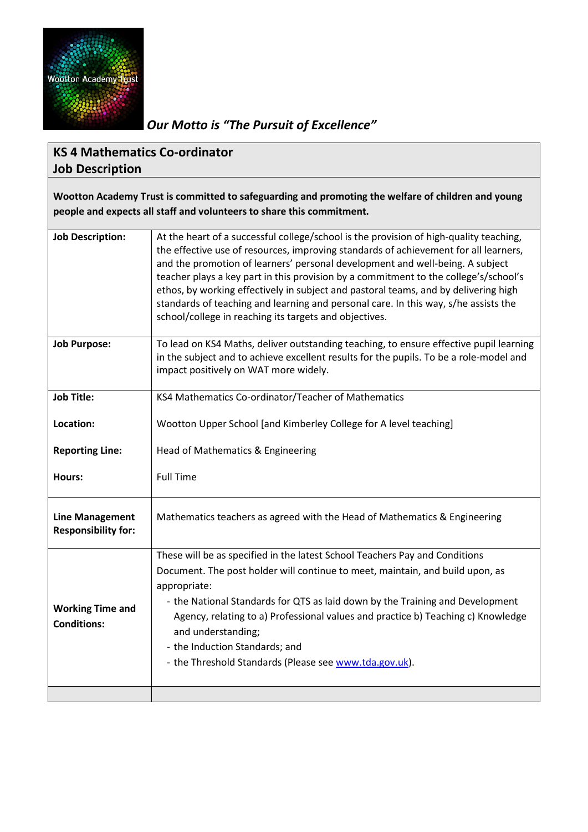

*Our Motto is "The Pursuit of Excellence"*

## **KS 4 Mathematics Co-ordinator Job Description**

**Wootton Academy Trust is committed to safeguarding and promoting the welfare of children and young people and expects all staff and volunteers to share this commitment.**

| <b>Job Description:</b>                              | At the heart of a successful college/school is the provision of high-quality teaching,<br>the effective use of resources, improving standards of achievement for all learners,<br>and the promotion of learners' personal development and well-being. A subject<br>teacher plays a key part in this provision by a commitment to the college's/school's<br>ethos, by working effectively in subject and pastoral teams, and by delivering high<br>standards of teaching and learning and personal care. In this way, s/he assists the<br>school/college in reaching its targets and objectives. |  |  |
|------------------------------------------------------|-------------------------------------------------------------------------------------------------------------------------------------------------------------------------------------------------------------------------------------------------------------------------------------------------------------------------------------------------------------------------------------------------------------------------------------------------------------------------------------------------------------------------------------------------------------------------------------------------|--|--|
| <b>Job Purpose:</b>                                  | To lead on KS4 Maths, deliver outstanding teaching, to ensure effective pupil learning<br>in the subject and to achieve excellent results for the pupils. To be a role-model and<br>impact positively on WAT more widely.                                                                                                                                                                                                                                                                                                                                                                       |  |  |
| <b>Job Title:</b>                                    | KS4 Mathematics Co-ordinator/Teacher of Mathematics                                                                                                                                                                                                                                                                                                                                                                                                                                                                                                                                             |  |  |
| Location:                                            | Wootton Upper School [and Kimberley College for A level teaching]                                                                                                                                                                                                                                                                                                                                                                                                                                                                                                                               |  |  |
| <b>Reporting Line:</b>                               | Head of Mathematics & Engineering                                                                                                                                                                                                                                                                                                                                                                                                                                                                                                                                                               |  |  |
| Hours:                                               | <b>Full Time</b>                                                                                                                                                                                                                                                                                                                                                                                                                                                                                                                                                                                |  |  |
| <b>Line Management</b><br><b>Responsibility for:</b> | Mathematics teachers as agreed with the Head of Mathematics & Engineering                                                                                                                                                                                                                                                                                                                                                                                                                                                                                                                       |  |  |
|                                                      | These will be as specified in the latest School Teachers Pay and Conditions                                                                                                                                                                                                                                                                                                                                                                                                                                                                                                                     |  |  |
|                                                      | Document. The post holder will continue to meet, maintain, and build upon, as                                                                                                                                                                                                                                                                                                                                                                                                                                                                                                                   |  |  |
| <b>Working Time and</b><br><b>Conditions:</b>        | appropriate:                                                                                                                                                                                                                                                                                                                                                                                                                                                                                                                                                                                    |  |  |
|                                                      | - the National Standards for QTS as laid down by the Training and Development                                                                                                                                                                                                                                                                                                                                                                                                                                                                                                                   |  |  |
|                                                      | Agency, relating to a) Professional values and practice b) Teaching c) Knowledge                                                                                                                                                                                                                                                                                                                                                                                                                                                                                                                |  |  |
|                                                      | and understanding;                                                                                                                                                                                                                                                                                                                                                                                                                                                                                                                                                                              |  |  |
|                                                      | - the Induction Standards; and                                                                                                                                                                                                                                                                                                                                                                                                                                                                                                                                                                  |  |  |
|                                                      | - the Threshold Standards (Please see www.tda.gov.uk).                                                                                                                                                                                                                                                                                                                                                                                                                                                                                                                                          |  |  |
|                                                      |                                                                                                                                                                                                                                                                                                                                                                                                                                                                                                                                                                                                 |  |  |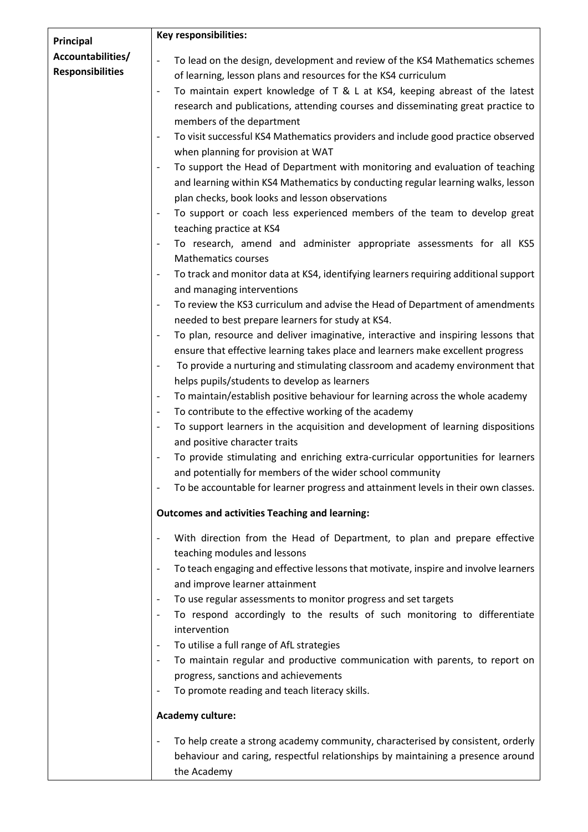| Principal               | <b>Key responsibilities:</b>                                                                                    |  |
|-------------------------|-----------------------------------------------------------------------------------------------------------------|--|
| Accountabilities/       |                                                                                                                 |  |
| <b>Responsibilities</b> | To lead on the design, development and review of the KS4 Mathematics schemes<br>$\overline{\phantom{a}}$        |  |
|                         | of learning, lesson plans and resources for the KS4 curriculum                                                  |  |
|                         | To maintain expert knowledge of T & L at KS4, keeping abreast of the latest<br>$\overline{\phantom{a}}$         |  |
|                         | research and publications, attending courses and disseminating great practice to                                |  |
|                         | members of the department                                                                                       |  |
|                         | To visit successful KS4 Mathematics providers and include good practice observed<br>$\overline{\phantom{a}}$    |  |
|                         | when planning for provision at WAT                                                                              |  |
|                         | To support the Head of Department with monitoring and evaluation of teaching<br>$\overline{\phantom{a}}$        |  |
|                         | and learning within KS4 Mathematics by conducting regular learning walks, lesson                                |  |
|                         | plan checks, book looks and lesson observations                                                                 |  |
|                         | To support or coach less experienced members of the team to develop great<br>$\overline{\phantom{a}}$           |  |
|                         | teaching practice at KS4                                                                                        |  |
|                         | To research, amend and administer appropriate assessments for all KS5<br>$\overline{\phantom{a}}$               |  |
|                         | <b>Mathematics courses</b>                                                                                      |  |
|                         | To track and monitor data at KS4, identifying learners requiring additional support<br>$\overline{\phantom{a}}$ |  |
|                         | and managing interventions                                                                                      |  |
|                         | To review the KS3 curriculum and advise the Head of Department of amendments                                    |  |
|                         | needed to best prepare learners for study at KS4.                                                               |  |
|                         | To plan, resource and deliver imaginative, interactive and inspiring lessons that                               |  |
|                         | ensure that effective learning takes place and learners make excellent progress                                 |  |
|                         | To provide a nurturing and stimulating classroom and academy environment that                                   |  |
|                         | helps pupils/students to develop as learners                                                                    |  |
|                         | To maintain/establish positive behaviour for learning across the whole academy<br>$\overline{\phantom{a}}$      |  |
|                         | To contribute to the effective working of the academy<br>$\overline{\phantom{a}}$                               |  |
|                         | To support learners in the acquisition and development of learning dispositions<br>$\overline{\phantom{a}}$     |  |
|                         | and positive character traits                                                                                   |  |
|                         | To provide stimulating and enriching extra-curricular opportunities for learners<br>$\overline{\phantom{a}}$    |  |
|                         | and potentially for members of the wider school community                                                       |  |
|                         | To be accountable for learner progress and attainment levels in their own classes.<br>$\overline{\phantom{a}}$  |  |
|                         | <b>Outcomes and activities Teaching and learning:</b>                                                           |  |
|                         | With direction from the Head of Department, to plan and prepare effective                                       |  |
|                         | teaching modules and lessons                                                                                    |  |
|                         | To teach engaging and effective lessons that motivate, inspire and involve learners<br>$\overline{\phantom{a}}$ |  |
|                         | and improve learner attainment                                                                                  |  |
|                         | To use regular assessments to monitor progress and set targets                                                  |  |
|                         | To respond accordingly to the results of such monitoring to differentiate                                       |  |
|                         | intervention                                                                                                    |  |
|                         | To utilise a full range of AfL strategies                                                                       |  |
|                         | To maintain regular and productive communication with parents, to report on<br>$\overline{\phantom{a}}$         |  |
|                         | progress, sanctions and achievements                                                                            |  |
|                         | To promote reading and teach literacy skills.                                                                   |  |
|                         | <b>Academy culture:</b>                                                                                         |  |
|                         |                                                                                                                 |  |
|                         | To help create a strong academy community, characterised by consistent, orderly                                 |  |
|                         |                                                                                                                 |  |
|                         | behaviour and caring, respectful relationships by maintaining a presence around<br>the Academy                  |  |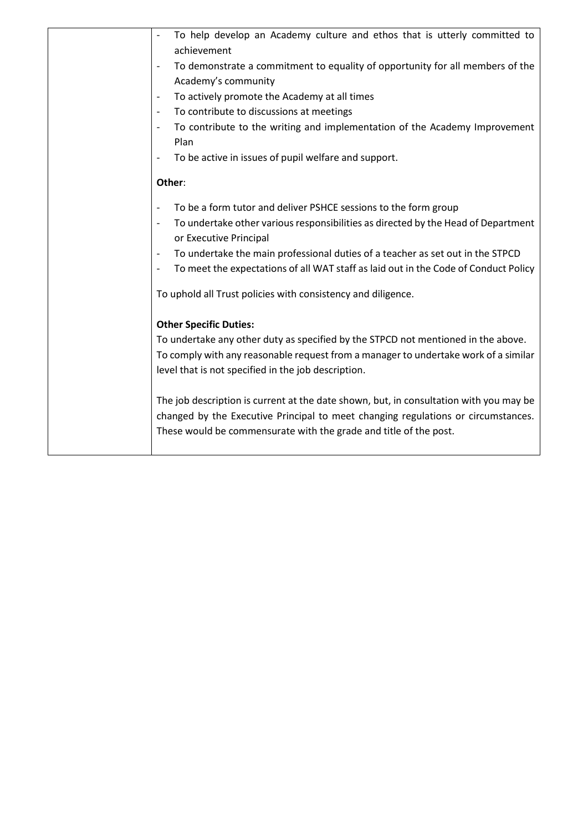| To help develop an Academy culture and ethos that is utterly committed to<br>achievement                                                |
|-----------------------------------------------------------------------------------------------------------------------------------------|
| To demonstrate a commitment to equality of opportunity for all members of the                                                           |
| Academy's community                                                                                                                     |
| To actively promote the Academy at all times<br>$\overline{\phantom{a}}$                                                                |
| To contribute to discussions at meetings<br>$\overline{\phantom{a}}$                                                                    |
| To contribute to the writing and implementation of the Academy Improvement<br>$\overline{\phantom{a}}$                                  |
| Plan                                                                                                                                    |
| To be active in issues of pupil welfare and support.<br>$\overline{\phantom{a}}$                                                        |
|                                                                                                                                         |
| Other:                                                                                                                                  |
| To be a form tutor and deliver PSHCE sessions to the form group                                                                         |
| To undertake other various responsibilities as directed by the Head of Department<br>$\overline{\phantom{a}}$<br>or Executive Principal |
| To undertake the main professional duties of a teacher as set out in the STPCD<br>$\overline{\phantom{a}}$                              |
| To meet the expectations of all WAT staff as laid out in the Code of Conduct Policy<br>$\overline{\phantom{a}}$                         |
| To uphold all Trust policies with consistency and diligence.                                                                            |
| <b>Other Specific Duties:</b>                                                                                                           |
| To undertake any other duty as specified by the STPCD not mentioned in the above.                                                       |
| To comply with any reasonable request from a manager to undertake work of a similar                                                     |
| level that is not specified in the job description.                                                                                     |
| The job description is current at the date shown, but, in consultation with you may be                                                  |
| changed by the Executive Principal to meet changing regulations or circumstances.                                                       |
| These would be commensurate with the grade and title of the post.                                                                       |
|                                                                                                                                         |
|                                                                                                                                         |